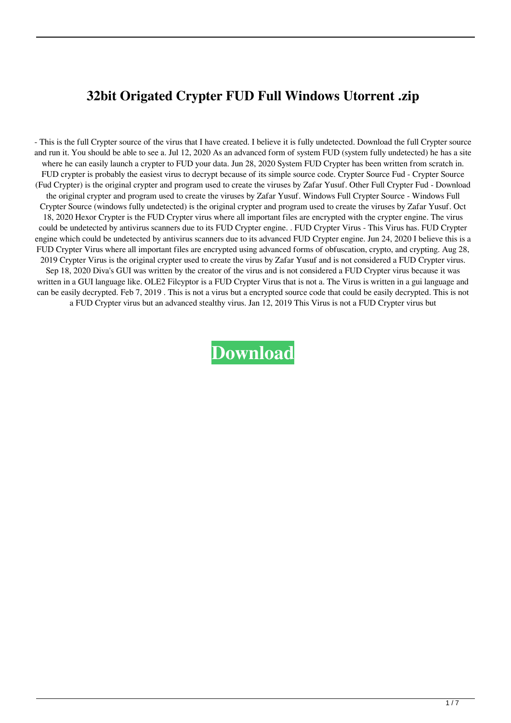## **32bit Origated Crypter FUD Full Windows Utorrent .zip**

- This is the full Crypter source of the virus that I have created. I believe it is fully undetected. Download the full Crypter source and run it. You should be able to see a. Jul 12, 2020 As an advanced form of system FUD (system fully undetected) he has a site where he can easily launch a crypter to FUD your data. Jun 28, 2020 System FUD Crypter has been written from scratch in. FUD crypter is probably the easiest virus to decrypt because of its simple source code. Crypter Source Fud - Crypter Source (Fud Crypter) is the original crypter and program used to create the viruses by Zafar Yusuf. Other Full Crypter Fud - Download the original crypter and program used to create the viruses by Zafar Yusuf. Windows Full Crypter Source - Windows Full Crypter Source (windows fully undetected) is the original crypter and program used to create the viruses by Zafar Yusuf. Oct 18, 2020 Hexor Crypter is the FUD Crypter virus where all important files are encrypted with the crypter engine. The virus could be undetected by antivirus scanners due to its FUD Crypter engine. . FUD Crypter Virus - This Virus has. FUD Crypter engine which could be undetected by antivirus scanners due to its advanced FUD Crypter engine. Jun 24, 2020 I believe this is a FUD Crypter Virus where all important files are encrypted using advanced forms of obfuscation, crypto, and crypting. Aug 28, 2019 Crypter Virus is the original crypter used to create the virus by Zafar Yusuf and is not considered a FUD Crypter virus. Sep 18, 2020 Diva's GUI was written by the creator of the virus and is not considered a FUD Crypter virus because it was written in a GUI language like. OLE2 Filcyptor is a FUD Crypter Virus that is not a. The Virus is written in a gui language and can be easily decrypted. Feb 7, 2019 . This is not a virus but a encrypted source code that could be easily decrypted. This is not a FUD Crypter virus but an advanced stealthy virus. Jan 12, 2019 This Virus is not a FUD Crypter virus but

**[Download](http://evacdir.com/tidbit/canvases/daulton/grove/duchscherer/?renouncement&RlVMTCBvcmlnYXRlZCBjcnlwdGVyIEZVRARlV=ZG93bmxvYWR8VmE4WjNWMmZId3hOalV5TnpRd09EWTJmSHd5TlRjMGZId29UU2tnY21WaFpDMWliRzluSUZ0R1lYTjBJRWRGVGww)**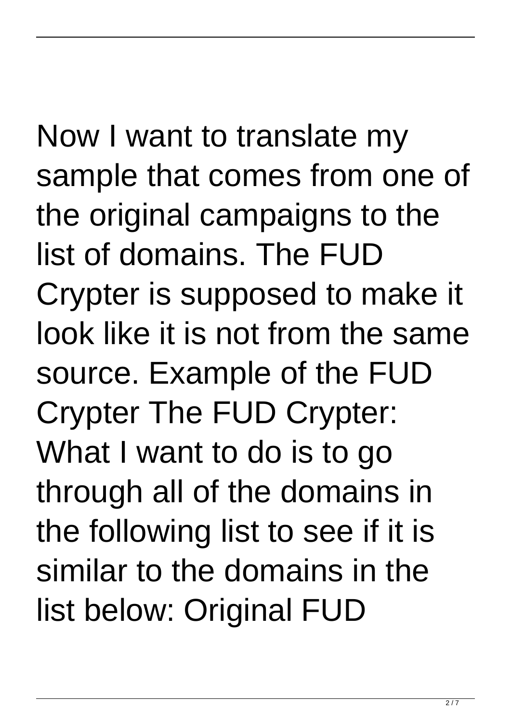Now I want to translate my sample that comes from one of the original campaigns to the list of domains. The FUD Crypter is supposed to make it look like it is not from the same source. Example of the FUD Crypter The FUD Crypter: What I want to do is to go through all of the domains in the following list to see if it is similar to the domains in the list below: Original FUD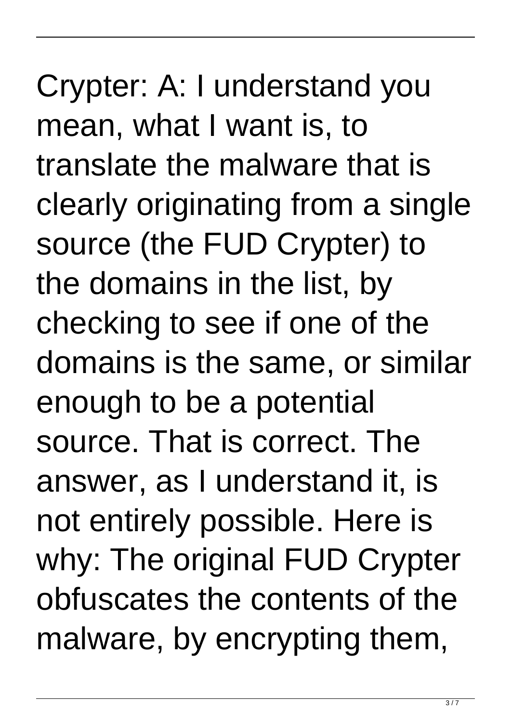Crypter: A: I understand you mean, what I want is, to translate the malware that is clearly originating from a single source (the FUD Crypter) to the domains in the list, by checking to see if one of the domains is the same, or similar enough to be a potential source. That is correct. The answer, as I understand it, is not entirely possible. Here is why: The original FUD Crypter obfuscates the contents of the malware, by encrypting them,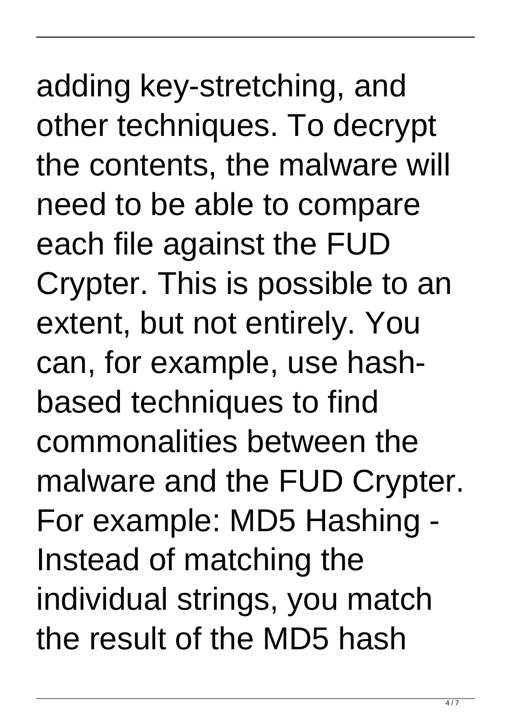adding key-stretching, and other techniques. To decrypt the contents, the malware will need to be able to compare each file against the FUD Crypter. This is possible to an extent, but not entirely. You can, for example, use hashbased techniques to find commonalities between the malware and the FUD Crypter. For example: MD5 Hashing - Instead of matching the individual strings, you match the result of the MD5 hash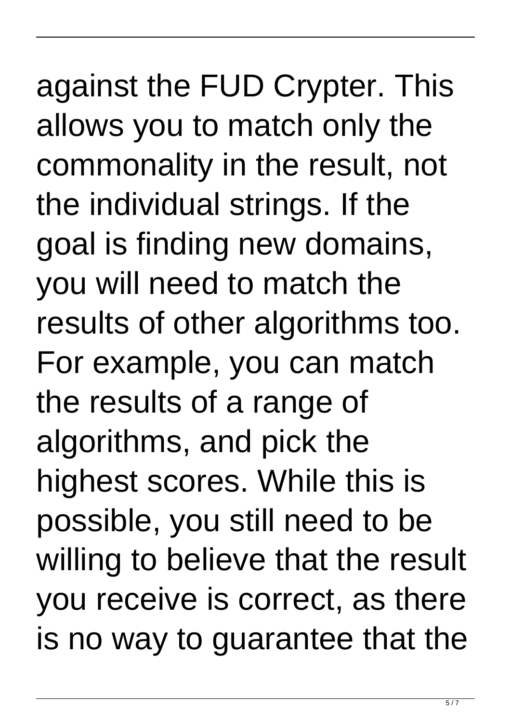against the FUD Crypter. This allows you to match only the commonality in the result, not the individual strings. If the goal is finding new domains, you will need to match the results of other algorithms too. For example, you can match the results of a range of algorithms, and pick the highest scores. While this is possible, you still need to be willing to believe that the result you receive is correct, as there is no way to guarantee that the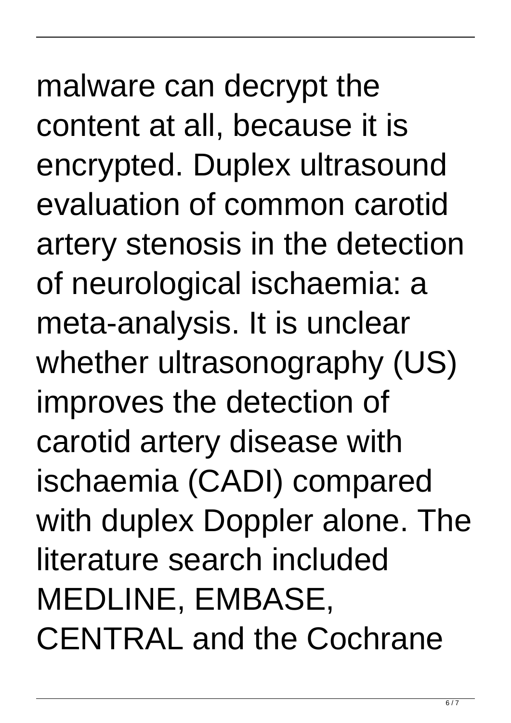malware can decrypt the content at all, because it is encrypted. Duplex ultrasound evaluation of common carotid artery stenosis in the detection of neurological ischaemia: a meta-analysis. It is unclear whether ultrasonography (US) improves the detection of carotid artery disease with ischaemia (CADI) compared with duplex Doppler alone. The literature search included MEDLINE, EMBASE, CENTRAL and the Cochrane